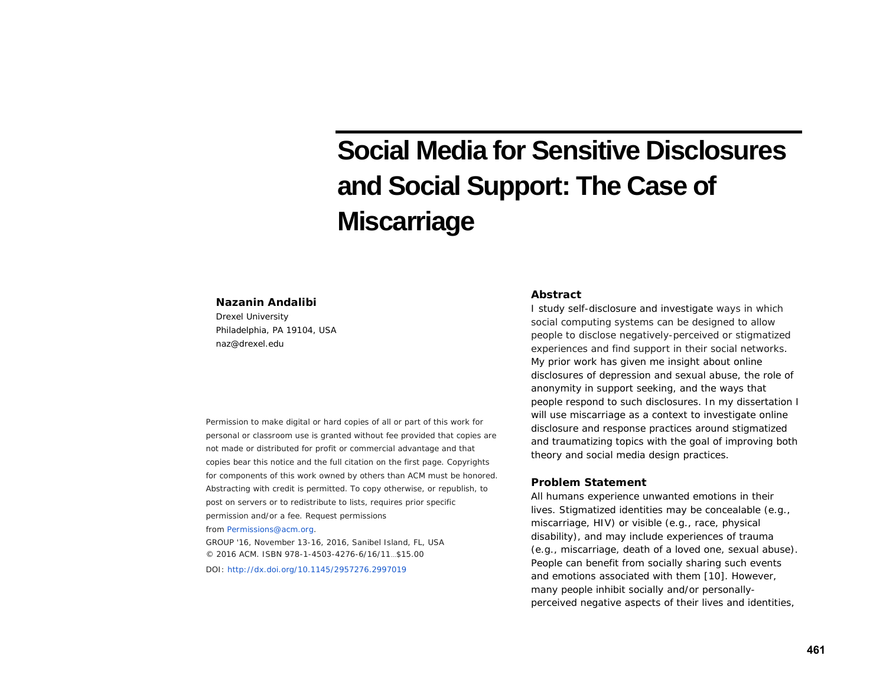# **Social Media for Sensitive Disclosures and Social Support: The Case of Miscarriage**

#### **Nazanin Andalibi**

Drexel University Philadelphia, PA 19104, USA naz@drexel.edu

Permission to make digital or hard copies of all or part of this work for personal or classroom use is granted without fee provided that copies are not made or distributed for profit or commercial advantage and that copies bear this notice and the full citation on the first page. Copyrights for components of this work owned by others than ACM must be honored. Abstracting with credit is permitted. To copy otherwise, or republish, to post on servers or to redistribute to lists, requires prior specific permission and/or a fee. Request permissions

from [Permissions@acm.org.](mailto:Permissions@acm.org)

*GROUP '16,* November 13-16, 2016, Sanibel Island, FL, USA © 2016 ACM. ISBN 978-1-4503-4276-6/16/11…\$15.00

DOI: <http://dx.doi.org/10.1145/2957276.2997019>

## **Abstract**

I study self-disclosure and investigate ways in which social computing systems can be designed to allow people to disclose negatively-perceived or stigmatized experiences and find support in their social networks. My prior work has given me insight about online disclosures of depression and sexual abuse, the role of anonymity in support seeking, and the ways that people respond to such disclosures. In my dissertation I will use miscarriage as a context to investigate online disclosure and response practices around stigmatized and traumatizing topics with the goal of improving both theory and social media design practices.

#### **Problem Statement**

All humans experience unwanted emotions in their lives. Stigmatized identities may be concealable (e.g., miscarriage, HIV) or visible (e.g., race, physical disability), and may include experiences of trauma (e.g., miscarriage, death of a loved one, sexual abuse). People can benefit from socially sharing such events and emotions associated with them [10]. However, many people inhibit socially and/or personallyperceived negative aspects of their lives and identities,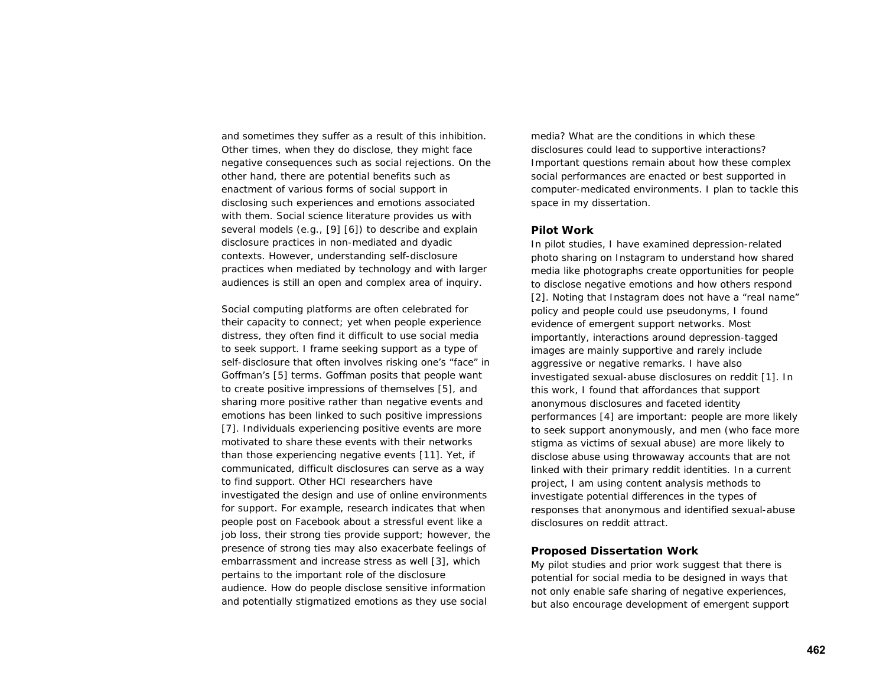and sometimes they suffer as a result of this inhibition. Other times, when they do disclose, they might face negative consequences such as social rejections. On the other hand, there are potential benefits such as enactment of various forms of social support in disclosing such experiences and emotions associated with them. Social science literature provides us with several models (e.g., [9] [6]) to describe and explain disclosure practices in non-mediated and dyadic contexts. However, understanding self-disclosure practices when mediated by technology and with larger audiences is still an open and complex area of inquiry.

Social computing platforms are often celebrated for their capacity to connect; yet when people experience distress, they often find it difficult to use social media to seek support. I frame seeking support as a type of self-disclosure that often involves risking one's "face" in Goffman's [5] terms. Goffman posits that people want to create positive impressions of themselves [5], and sharing more positive rather than negative events and emotions has been linked to such positive impressions [7]. Individuals experiencing positive events are more motivated to share these events with their networks than those experiencing negative events [11]. Yet, if communicated, difficult disclosures can serve as a way to find support. Other HCI researchers have investigated the design and use of online environments for support. For example, research indicates that when people post on Facebook about a stressful event like a job loss, their strong ties provide support; however, the presence of strong ties may also exacerbate feelings of embarrassment and increase stress as well [3], which pertains to the important role of the disclosure audience. How do people disclose sensitive information and potentially stigmatized emotions as they use social

media? What are the conditions in which these disclosures could lead to supportive interactions? Important questions remain about how these complex social performances are enacted or best supported in computer-medicated environments. I plan to tackle this space in my dissertation.

## **Pilot Work**

In pilot studies, I have examined depression-related photo sharing on Instagram to understand how shared media like photographs create opportunities for people to disclose negative emotions and how others respond [2]. Noting that Instagram does not have a "real name" policy and people could use pseudonyms, I found evidence of emergent support networks. Most importantly, interactions around depression-tagged images are mainly supportive and rarely include aggressive or negative remarks. I have also investigated sexual-abuse disclosures on reddit [1]. In this work, I found that affordances that support anonymous disclosures and faceted identity performances [4] are important: people are more likely to seek support anonymously, and men (who face more stigma as victims of sexual abuse) are more likely to disclose abuse using throwaway accounts that are not linked with their primary reddit identities. In a current project, I am using content analysis methods to investigate potential differences in the types of responses that anonymous and identified sexual-abuse disclosures on reddit attract.

#### **Proposed Dissertation Work**

My pilot studies and prior work suggest that there is potential for social media to be designed in ways that not only enable safe sharing of negative experiences, but also encourage development of emergent support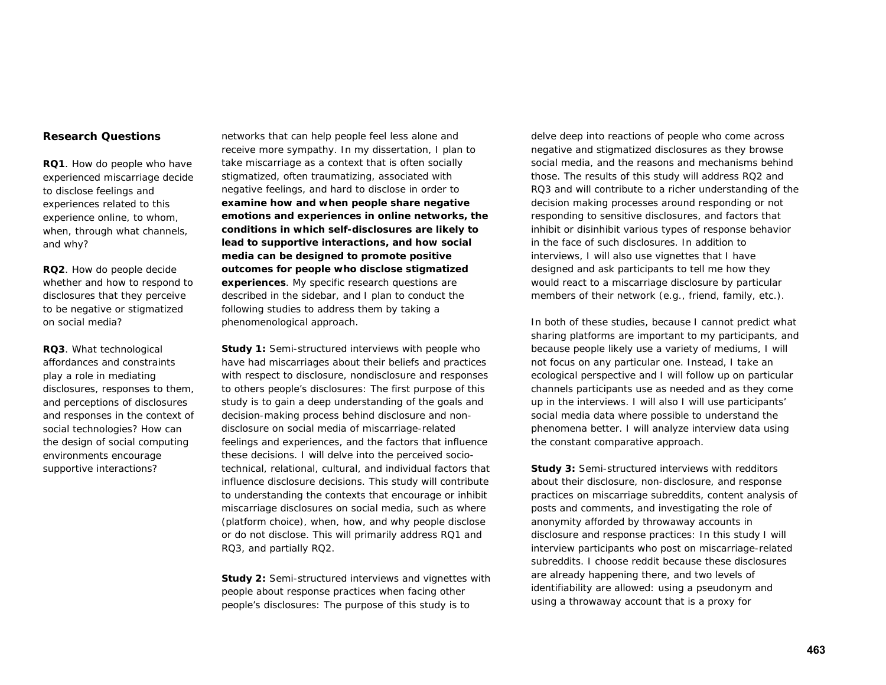# **Research Questions**

**RQ1**. How do people who have experienced miscarriage decide to disclose feelings and experiences related to this experience online, to whom, when, through what channels, and why?

**RQ2**. How do people decide whether and how to respond to disclosures that they perceive to be negative or stigmatized on social media?

**RQ3**. What technological affordances and constraints play a role in mediating disclosures, responses to them, and perceptions of disclosures and responses in the context of social technologies? How can the design of social computing environments encourage supportive interactions?

networks that can help people feel less alone and receive more sympathy. In my dissertation, I plan to take miscarriage as a context that is often socially stigmatized, often traumatizing, associated with negative feelings, and hard to disclose in order to *examine how and when people share negative emotions and experiences in online networks, the conditions in which self-disclosures are likely to lead to supportive interactions, and how social media can be designed to promote positive outcomes for people who disclose stigmatized experiences*. My specific research questions are described in the sidebar, and I plan to conduct the following studies to address them by taking a phenomenological approach.

*Study 1: Semi-structured interviews with people who have had miscarriages about their beliefs and practices with respect to disclosure, nondisclosure and responses to others people's disclosures:* The first purpose of this study is to gain a deep understanding of the goals and decision-making process behind disclosure and nondisclosure on social media of miscarriage-related feelings and experiences, and the factors that influence these decisions. I will delve into the perceived sociotechnical, relational, cultural, and individual factors that influence disclosure decisions. This study will contribute to understanding the contexts that encourage or inhibit miscarriage disclosures on social media, such as where (platform choice), when, how, and why people disclose or do not disclose. This will primarily address RQ1 and RQ3, and partially RQ2.

*Study 2: Semi-structured interviews and vignettes with people about response practices when facing other people's disclosures:* The purpose of this study is to

delve deep into reactions of people who come across negative and stigmatized disclosures as they browse social media, and the reasons and mechanisms behind those. The results of this study will address RQ2 and RQ3 and will contribute to a richer understanding of the decision making processes around responding or not responding to sensitive disclosures, and factors that inhibit or disinhibit various types of response behavior in the face of such disclosures. In addition to interviews, I will also use vignettes that I have designed and ask participants to tell me how they would react to a miscarriage disclosure by particular members of their network (e.g., friend, family, etc.).

In both of these studies, because I cannot predict what sharing platforms are important to my participants, and because people likely use a variety of mediums, I will not focus on any particular one. Instead, I take an ecological perspective and I will follow up on particular channels participants use as needed and as they come up in the interviews. I will also I will use participants' social media data where possible to understand the phenomena better. I will analyze interview data using the constant comparative approach.

*Study 3: Semi-structured interviews with redditors about their disclosure, non-disclosure, and response practices on miscarriage subreddits, content analysis of posts and comments, and investigating the role of anonymity afforded by throwaway accounts in disclosure and response practices:* In this study I will interview participants who post on miscarriage-related subreddits. I choose reddit because these disclosures are already happening there, and two levels of identifiability are allowed: using a pseudonym and using a throwaway account that is a proxy for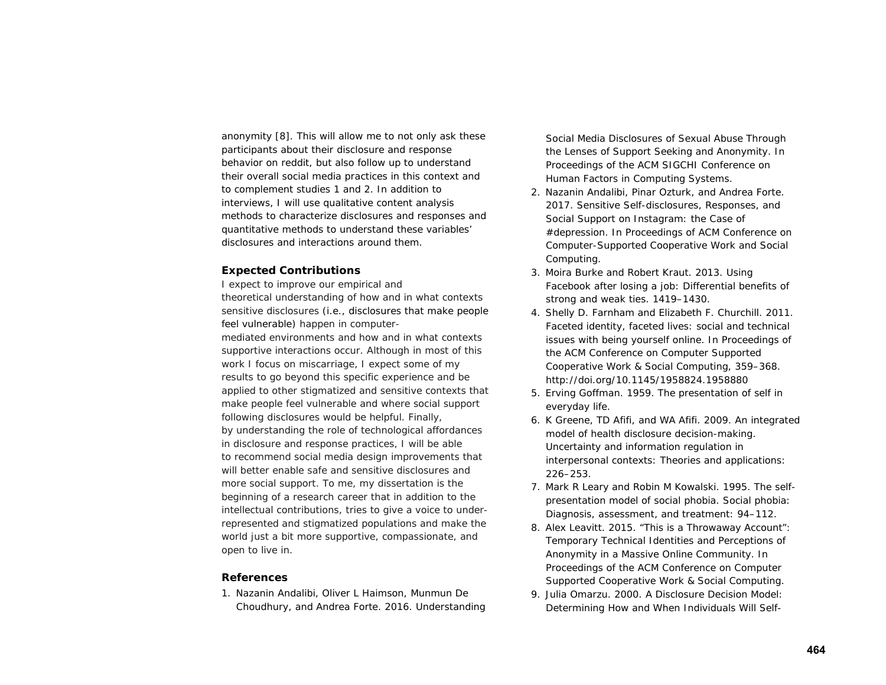anonymity [8]. This will allow me to not only ask these participants about their disclosure and response behavior on reddit, but also follow up to understand their overall social media practices in this context and to complement studies 1 and 2. In addition to interviews, I will use qualitative content analysis methods to characterize disclosures and responses and quantitative methods to understand these variables' disclosures and interactions around them.

# **Expected Contributions**

I expect to improve our empirical and theoretical understanding of how and in what contexts sensitive disclosures (i.e., disclosures that make people feel vulnerable) happen in computermediated environments and how and in what contexts supportive interactions occur. Although in most of this work I focus on miscarriage, I expect some of my results to go beyond this specific experience and be applied to other stigmatized and sensitive contexts that make people feel vulnerable and where social support following disclosures would be helpful. Finally, by understanding the role of technological affordances in disclosure and response practices, I will be able to recommend social media design improvements that will better enable safe and sensitive disclosures and more social support. To me, my dissertation is the beginning of a research career that in addition to the intellectual contributions, tries to give a voice to underrepresented and stigmatized populations and make the world just a bit more supportive, compassionate, and open to live in.

## **References**

1. Nazanin Andalibi, Oliver L Haimson, Munmun De Choudhury, and Andrea Forte. 2016. Understanding

Social Media Disclosures of Sexual Abuse Through the Lenses of Support Seeking and Anonymity. In *Proceedings of the ACM SIGCHI Conference on Human Factors in Computing Systems*.

- 2. Nazanin Andalibi, Pinar Ozturk, and Andrea Forte. 2017. Sensitive Self-disclosures, Responses, and Social Support on Instagram: the Case of #depression. In *Proceedings of ACM Conference on Computer-Supported Cooperative Work and Social Computing*.
- 3. Moira Burke and Robert Kraut. 2013. Using Facebook after losing a job: Differential benefits of strong and weak ties. 1419–1430.
- 4. Shelly D. Farnham and Elizabeth F. Churchill. 2011. Faceted identity, faceted lives: social and technical issues with being yourself online. In *Proceedings of the ACM Conference on Computer Supported Cooperative Work & Social Computing*, 359–368. http://doi.org/10.1145/1958824.1958880
- 5. Erving Goffman. 1959. The presentation of self in everyday life.
- 6. K Greene, TD Afifi, and WA Afifi. 2009. An integrated model of health disclosure decision-making. *Uncertainty and information regulation in interpersonal contexts: Theories and applications*: 226–253.
- 7. Mark R Leary and Robin M Kowalski. 1995. The selfpresentation model of social phobia. *Social phobia: Diagnosis, assessment, and treatment*: 94–112.
- 8. Alex Leavitt. 2015. "This is a Throwaway Account": Temporary Technical Identities and Perceptions of Anonymity in a Massive Online Community. In *Proceedings of the ACM Conference on Computer Supported Cooperative Work & Social Computing*.
- 9. Julia Omarzu. 2000. A Disclosure Decision Model: Determining How and When Individuals Will Self-